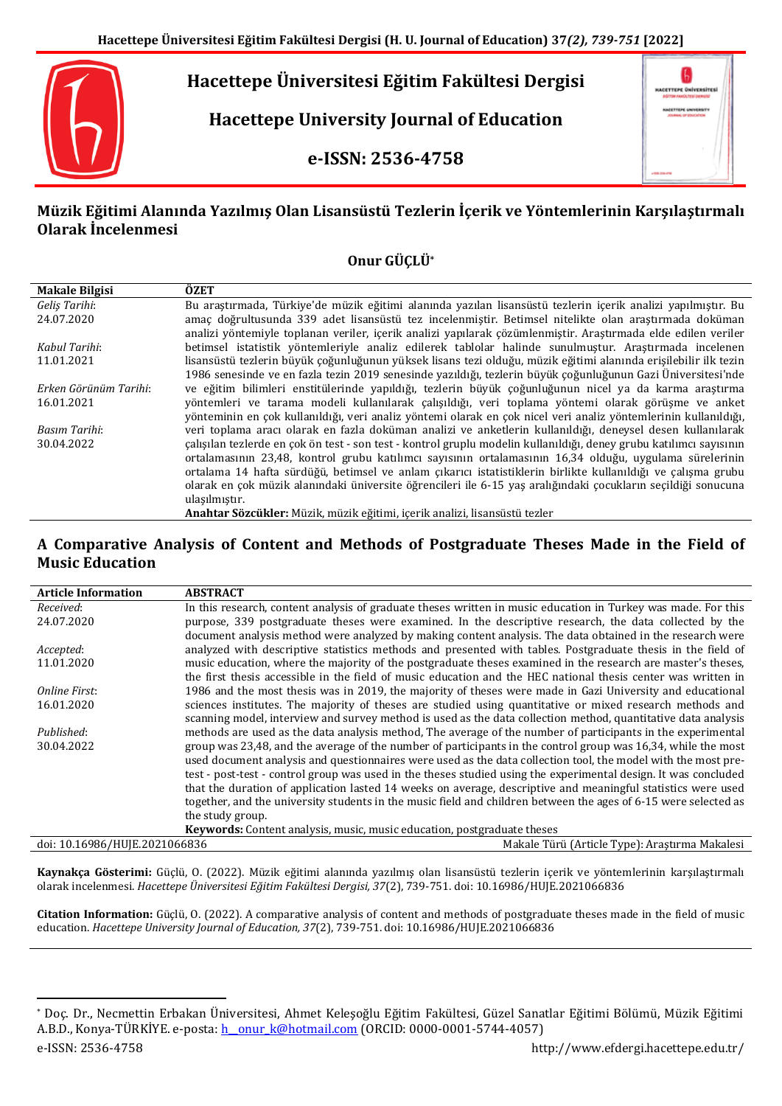

**Hacettepe Üniversitesi Eğitim Fakültesi Dergisi**

**Hacettepe University Journal of Education**

**e-ISSN: 2536-4758**



# **Müzik Eğitimi Alanında Yazılmış Olan Lisansüstü Tezlerin İçerik ve Yöntemlerinin Karşılaştırmalı Olarak İncelenmesi**

# **Onur GÜÇLÜ\***

| <b>Makale Bilgisi</b> | ÖZET                                                                                                                |
|-----------------------|---------------------------------------------------------------------------------------------------------------------|
| Geliş Tarihi:         | Bu arastırmada, Türkiye'de müzik eğitimi alanında yazılan lisansüstü tezlerin içerik analizi yapılmıştır. Bu        |
| 24.07.2020            | amac doğrultusunda 339 adet lisansüstü tez incelenmistir. Betimsel nitelikte olan arastırmada doküman               |
|                       | analizi yöntemiyle toplanan veriler, içerik analizi yapılarak çözümlenmiştir. Araştırmada elde edilen veriler       |
| Kabul Tarihi:         | betimsel istatistik yöntemleriyle analiz edilerek tablolar halinde sunulmuştur. Araştırmada incelenen               |
| 11.01.2021            | lisansüstü tezlerin büyük çoğunluğunun yüksek lisans tezi olduğu, müzik eğitimi alanında erisilebilir ilk tezin     |
|                       | 1986 senesinde ve en fazla tezin 2019 senesinde vazıldığı, tezlerin büyük çoğunluğunun Gazi Üniversitesi'nde        |
| Erken Görünüm Tarihi: | ve eğitim bilimleri enstitülerinde yapıldığı, tezlerin büyük çoğunluğunun nicel ya da karma araştırma               |
| 16.01.2021            | yöntemleri ve tarama modeli kullanılarak çalışıldığı, veri toplama yöntemi olarak görüşme ve anket                  |
|                       | yönteminin en çok kullanıldığı, veri analiz yöntemi olarak en çok nicel veri analiz yöntemlerinin kullanıldığı,     |
| Basım Tarihi:         | veri toplama aracı olarak en fazla doküman analizi ve anketlerin kullanıldığı, deneysel desen kullanılarak          |
| 30.04.2022            | çalışılan tezlerde en çok ön test - son test - kontrol gruplu modelin kullanıldığı, deney grubu katılımcı sayısının |
|                       | ortalamasının 23,48, kontrol grubu katılımcı sayısının ortalamasının 16,34 olduğu, uygulama sürelerinin             |
|                       | ortalama 14 hafta sürdüğü, betimsel ve anlam cıkarıcı istatistiklerin birlikte kullanıldığı ve calısma grubu        |
|                       | olarak en çok müzik alanındaki üniversite öğrencileri ile 6-15 yas aralığındaki çocukların secildiği sonucuna       |
|                       | ulasılmıştır.                                                                                                       |
|                       | Anahtar Sözcükler: Müzik, müzik eğitimi, içerik analizi, lisansüstü tezler                                          |

## **A Comparative Analysis of Content and Methods of Postgraduate Theses Made in the Field of Music Education**

| <b>Article Information</b>    | <b>ABSTRACT</b>                                                                                                 |
|-------------------------------|-----------------------------------------------------------------------------------------------------------------|
| Received:                     | In this research, content analysis of graduate theses written in music education in Turkey was made. For this   |
| 24.07.2020                    | purpose, 339 postgraduate theses were examined. In the descriptive research, the data collected by the          |
|                               | document analysis method were analyzed by making content analysis. The data obtained in the research were       |
| Accepted:                     | analyzed with descriptive statistics methods and presented with tables. Postgraduate thesis in the field of     |
| 11.01.2020                    | music education, where the majority of the postgraduate theses examined in the research are master's theses,    |
|                               | the first thesis accessible in the field of music education and the HEC national thesis center was written in   |
| Online First:                 | 1986 and the most thesis was in 2019, the majority of theses were made in Gazi University and educational       |
| 16.01.2020                    | sciences institutes. The majority of theses are studied using quantitative or mixed research methods and        |
|                               | scanning model, interview and survey method is used as the data collection method, quantitative data analysis   |
| Published:                    | methods are used as the data analysis method, The average of the number of participants in the experimental     |
| 30.04.2022                    | group was 23,48, and the average of the number of participants in the control group was 16,34, while the most   |
|                               | used document analysis and questionnaires were used as the data collection tool, the model with the most pre-   |
|                               | test - post-test - control group was used in the theses studied using the experimental design. It was concluded |
|                               | that the duration of application lasted 14 weeks on average, descriptive and meaningful statistics were used    |
|                               | together, and the university students in the music field and children between the ages of 6-15 were selected as |
|                               | the study group.                                                                                                |
|                               | <b>Keywords:</b> Content analysis, music, music education, postgraduate theses                                  |
| doi: 10.16986/HUJE.2021066836 | Makale Türü (Article Type): Araştırma Makalesi                                                                  |

**Kaynakça Gösterimi:** Güçlü, O. (2022). Müzik eğitimi alanında yazılmış olan lisansüstü tezlerin içerik ve yöntemlerinin karşılaştırmalı olarak incelenmesi. *Hacettepe Üniversitesi Eğitim Fakültesi Dergisi, 37*(2), 739-751. doi: 10.16986/HUJE.2021066836

**Citation Information:** Güçlü, O. (2022). A comparative analysis of content and methods of postgraduate theses made in the field of music education. *Hacettepe University Journal of Education, 37*(2), 739-751. doi: 10.16986/HUJE.2021066836

 $\ddot{\phantom{a}}$ \* Doç. Dr., Necmettin Erbakan Üniversitesi, Ahmet Keleşoğlu Eğitim Fakültesi, Güzel Sanatlar Eğitimi Bölümü, Müzik Eğitimi A.B.D., Konya-TÜRKİYE. e-posta: h\_onur\_k@hotmail.com (ORCID: 0000-0001-5744-4057)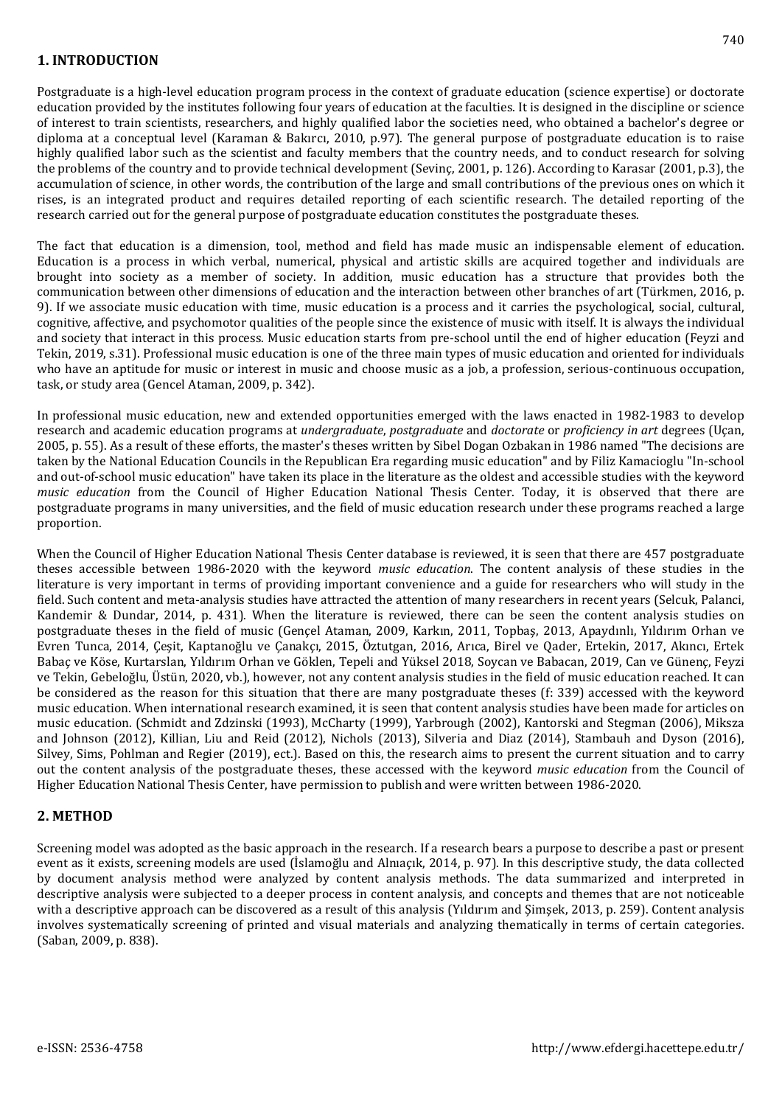Postgraduate is a high-level education program process in the context of graduate education (science expertise) or doctorate education provided by the institutes following four years of education at the faculties. It is designed in the discipline or science of interest to train scientists, researchers, and highly qualified labor the societies need, who obtained a bachelor's degree or diploma at a conceptual level (Karaman & Bakırcı, 2010, p.97). The general purpose of postgraduate education is to raise highly qualified labor such as the scientist and faculty members that the country needs, and to conduct research for solving the problems of the country and to provide technical development (Sevinç, 2001, p. 126). According to Karasar (2001, p.3), the accumulation of science, in other words, the contribution of the large and small contributions of the previous ones on which it rises, is an integrated product and requires detailed reporting of each scientific research. The detailed reporting of the research carried out for the general purpose of postgraduate education constitutes the postgraduate theses.

The fact that education is a dimension, tool, method and field has made music an indispensable element of education. Education is a process in which verbal, numerical, physical and artistic skills are acquired together and individuals are brought into society as a member of society. In addition, music education has a structure that provides both the communication between other dimensions of education and the interaction between other branches of art (Türkmen, 2016, p. 9). If we associate music education with time, music education is a process and it carries the psychological, social, cultural, cognitive, affective, and psychomotor qualities of the people since the existence of music with itself. It is always the individual and society that interact in this process. Music education starts from pre-school until the end of higher education (Feyzi and Tekin, 2019, s.31). Professional music education is one of the three main types of music education and oriented for individuals who have an aptitude for music or interest in music and choose music as a job, a profession, serious-continuous occupation, task, or study area (Gencel Ataman, 2009, p. 342).

In professional music education, new and extended opportunities emerged with the laws enacted in 1982-1983 to develop research and academic education programs at *undergraduate*, *postgraduate* and *doctorate* or *proficiency in art* degrees (Uçan, 2005, p. 55). As a result of these efforts, the master's theses written by Sibel Dogan Ozbakan in 1986 named "The decisions are taken by the National Education Councils in the Republican Era regarding music education" and by Filiz Kamacioglu "In-school and out-of-school music education" have taken its place in the literature as the oldest and accessible studies with the keyword *music education* from the Council of Higher Education National Thesis Center. Today, it is observed that there are postgraduate programs in many universities, and the field of music education research under these programs reached a large proportion.

When the Council of Higher Education National Thesis Center database is reviewed, it is seen that there are 457 postgraduate theses accessible between 1986-2020 with the keyword *music education*. The content analysis of these studies in the literature is very important in terms of providing important convenience and a guide for researchers who will study in the field. Such content and meta-analysis studies have attracted the attention of many researchers in recent years (Selcuk, Palanci, Kandemir & Dundar, 2014, p. 431). When the literature is reviewed, there can be seen the content analysis studies on postgraduate theses in the field of music (Gençel Ataman, 2009, Karkın, 2011, Topbaş, 2013, Apaydınlı, Yıldırım Orhan ve Evren Tunca, 2014, Çeşit, Kaptanoğlu ve Çanakçı, 2015, Öztutgan, 2016, Arıca, Birel ve Qader, Ertekin, 2017, Akıncı, Ertek Babaç ve Köse, Kurtarslan, Yıldırım Orhan ve Göklen, Tepeli and Yüksel 2018, Soycan ve Babacan, 2019, Can ve Günenç, Feyzi ve Tekin, Gebeloğlu, Üstün, 2020, vb.), however, not any content analysis studies in the field of music education reached. It can be considered as the reason for this situation that there are many postgraduate theses (f: 339) accessed with the keyword music education. When international research examined, it is seen that content analysis studies have been made for articles on music education. (Schmidt and Zdzinski (1993), McCharty (1999), Yarbrough (2002), Kantorski and Stegman (2006), Miksza and Johnson (2012), Killian, Liu and Reid (2012), Nichols (2013), Silveria and Diaz (2014), Stambauh and Dyson (2016), Silvey, Sims, Pohlman and Regier (2019), ect.). Based on this, the research aims to present the current situation and to carry out the content analysis of the postgraduate theses, these accessed with the keyword *music education* from the Council of Higher Education National Thesis Center, have permission to publish and were written between 1986-2020.

## **2. METHOD**

Screening model was adopted as the basic approach in the research. If a research bears a purpose to describe a past or present event as it exists, screening models are used (İslamoğlu and Alnıaçık, 2014, p. 97). In this descriptive study, the data collected by document analysis method were analyzed by content analysis methods. The data summarized and interpreted in descriptive analysis were subjected to a deeper process in content analysis, and concepts and themes that are not noticeable with a descriptive approach can be discovered as a result of this analysis (Yıldırım and Şimşek, 2013, p. 259). Content analysis involves systematically screening of printed and visual materials and analyzing thematically in terms of certain categories. (Saban, 2009, p. 838).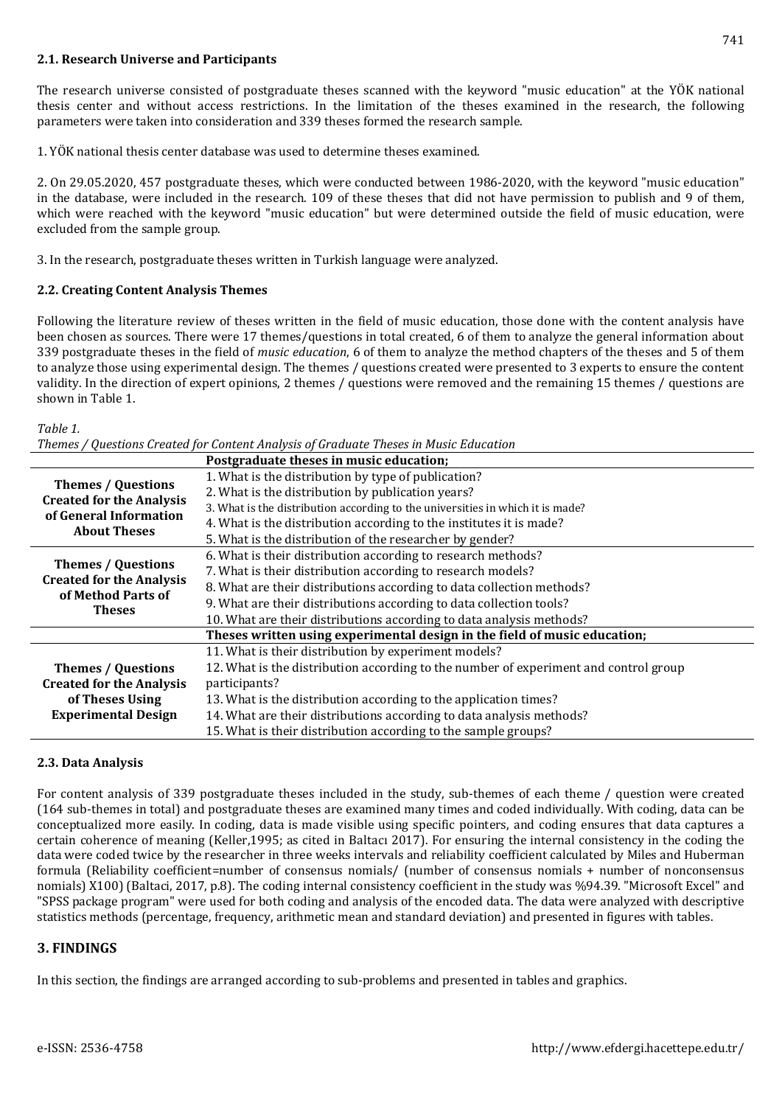### **2.1. Research Universe and Participants**

The research universe consisted of postgraduate theses scanned with the keyword "music education" at the YÖK national thesis center and without access restrictions. In the limitation of the theses examined in the research, the following parameters were taken into consideration and 339 theses formed the research sample.

1. YÖK national thesis center database was used to determine theses examined.

2. On 29.05.2020, 457 postgraduate theses, which were conducted between 1986-2020, with the keyword "music education" in the database, were included in the research. 109 of these theses that did not have permission to publish and 9 of them, which were reached with the keyword "music education" but were determined outside the field of music education, were excluded from the sample group.

3. In the research, postgraduate theses written in Turkish language were analyzed.

### **2.2. Creating Content Analysis Themes**

Following the literature review of theses written in the field of music education, those done with the content analysis have been chosen as sources. There were 17 themes/questions in total created, 6 of them to analyze the general information about 339 postgraduate theses in the field of *music education*, 6 of them to analyze the method chapters of the theses and 5 of them to analyze those using experimental design. The themes / questions created were presented to 3 experts to ensure the content validity. In the direction of expert opinions, 2 themes / questions were removed and the remaining 15 themes / questions are shown in Table 1.

#### *Table 1.*

|                                                              | Postgraduate theses in music education;                                              |
|--------------------------------------------------------------|--------------------------------------------------------------------------------------|
| <b>Themes / Questions</b><br><b>Created for the Analysis</b> | 1. What is the distribution by type of publication?                                  |
|                                                              | 2. What is the distribution by publication years?                                    |
| of General Information                                       | 3. What is the distribution according to the universities in which it is made?       |
| <b>About Theses</b>                                          | 4. What is the distribution according to the institutes it is made?                  |
|                                                              | 5. What is the distribution of the researcher by gender?                             |
|                                                              | 6. What is their distribution according to research methods?                         |
| <b>Themes / Questions</b><br><b>Created for the Analysis</b> | 7. What is their distribution according to research models?                          |
| of Method Parts of                                           | 8. What are their distributions according to data collection methods?                |
| <b>Theses</b>                                                | 9. What are their distributions according to data collection tools?                  |
|                                                              | 10. What are their distributions according to data analysis methods?                 |
|                                                              | Theses written using experimental design in the field of music education;            |
|                                                              | 11. What is their distribution by experiment models?                                 |
| <b>Themes / Questions</b>                                    | 12. What is the distribution according to the number of experiment and control group |
| <b>Created for the Analysis</b>                              | participants?                                                                        |
| of Theses Using                                              | 13. What is the distribution according to the application times?                     |
| <b>Experimental Design</b>                                   | 14. What are their distributions according to data analysis methods?                 |
|                                                              | 15. What is their distribution according to the sample groups?                       |

## **2.3. Data Analysis**

For content analysis of 339 postgraduate theses included in the study, sub-themes of each theme / question were created (164 sub-themes in total) and postgraduate theses are examined many times and coded individually. With coding, data can be conceptualized more easily. In coding, data is made visible using specific pointers, and coding ensures that data captures a certain coherence of meaning (Keller,1995; as cited in Baltacı 2017). For ensuring the internal consistency in the coding the data were coded twice by the researcher in three weeks intervals and reliability coefficient calculated by Miles and Huberman formula (Reliability coefficient=number of consensus nomials/ (number of consensus nomials + number of nonconsensus nomials) X100) (Baltaci, 2017, p.8). The coding internal consistency coefficient in the study was %94.39. "Microsoft Excel" and "SPSS package program" were used for both coding and analysis of the encoded data. The data were analyzed with descriptive statistics methods (percentage, frequency, arithmetic mean and standard deviation) and presented in figures with tables.

## **3. FINDINGS**

In this section, the findings are arranged according to sub-problems and presented in tables and graphics.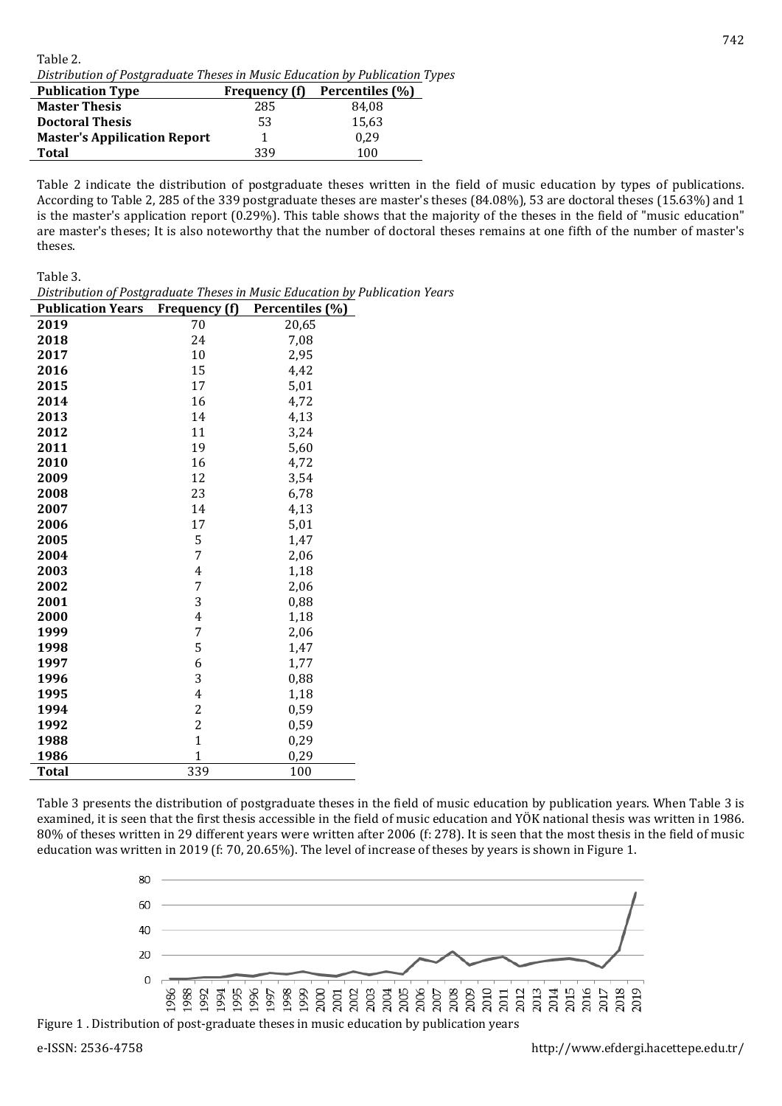Table 2. *Distribution of Postgraduate Theses in Music Education by Publication Types*

| <b>Publication Type</b>             | <b>Frequency</b> (f) | Percentiles (%) |
|-------------------------------------|----------------------|-----------------|
| <b>Master Thesis</b>                | 285                  | 84.08           |
| <b>Doctoral Thesis</b>              | 53                   | 15.63           |
| <b>Master's Appilication Report</b> |                      | 0.29            |
| <b>Total</b>                        | 339                  | 100             |

Table 2 indicate the distribution of postgraduate theses written in the field of music education by types of publications. According to Table 2, 285 of the 339 postgraduate theses are master's theses (84.08%), 53 are doctoral theses (15.63%) and 1 is the master's application report (0.29%). This table shows that the majority of the theses in the field of "music education" are master's theses; It is also noteworthy that the number of doctoral theses remains at one fifth of the number of master's theses.

Table 3.

| Distribution of Postgraduate Theses in Music Education by Publication Years |  |
|-----------------------------------------------------------------------------|--|
|-----------------------------------------------------------------------------|--|

| <b>Publication Years</b> | Frequency (f)           | Percentiles (%) |
|--------------------------|-------------------------|-----------------|
| 2019                     | 70                      | 20,65           |
| 2018                     | 24                      | 7,08            |
| 2017                     | 10                      | 2,95            |
| 2016                     | 15                      | 4,42            |
| 2015                     | 17                      | 5,01            |
| 2014                     | 16                      | 4,72            |
| 2013                     | 14                      | 4,13            |
| 2012                     | 11                      | 3,24            |
| 2011                     | 19                      | 5,60            |
| 2010                     | 16                      | 4,72            |
| 2009                     | 12                      | 3,54            |
| 2008                     | 23                      | 6,78            |
| 2007                     | 14                      | 4,13            |
| 2006                     | 17                      | 5,01            |
| 2005                     | 5                       | 1,47            |
| 2004                     | 7                       | 2,06            |
| 2003                     | 4                       | 1,18            |
| 2002                     | 7                       | 2,06            |
| 2001                     | 3                       | 0,88            |
| 2000                     | 4                       | 1,18            |
| 1999                     | 7                       | 2,06            |
| 1998                     | 5                       | 1,47            |
| 1997                     | 6                       | 1,77            |
| 1996                     | 3                       | 0,88            |
| 1995                     | $\overline{4}$          | 1,18            |
| 1994                     | $\overline{c}$          | 0,59            |
| 1992                     | $\overline{\mathbf{c}}$ | 0,59            |
| 1988                     | $\mathbf{1}$            | 0,29            |
| 1986                     | $\mathbf{1}$            | 0,29            |
| Total                    | 339                     | 100             |

Table 3 presents the distribution of postgraduate theses in the field of music education by publication years. When Table 3 is examined, it is seen that the first thesis accessible in the field of music education and YÖK national thesis was written in 1986. 80% of theses written in 29 different years were written after 2006 (f: 278). It is seen that the most thesis in the field of music education was written in 2019 (f: 70, 20.65%). The level of increase of theses by years is shown in Figure 1.



Figure 1 . Distribution of post-graduate theses in music education by publication years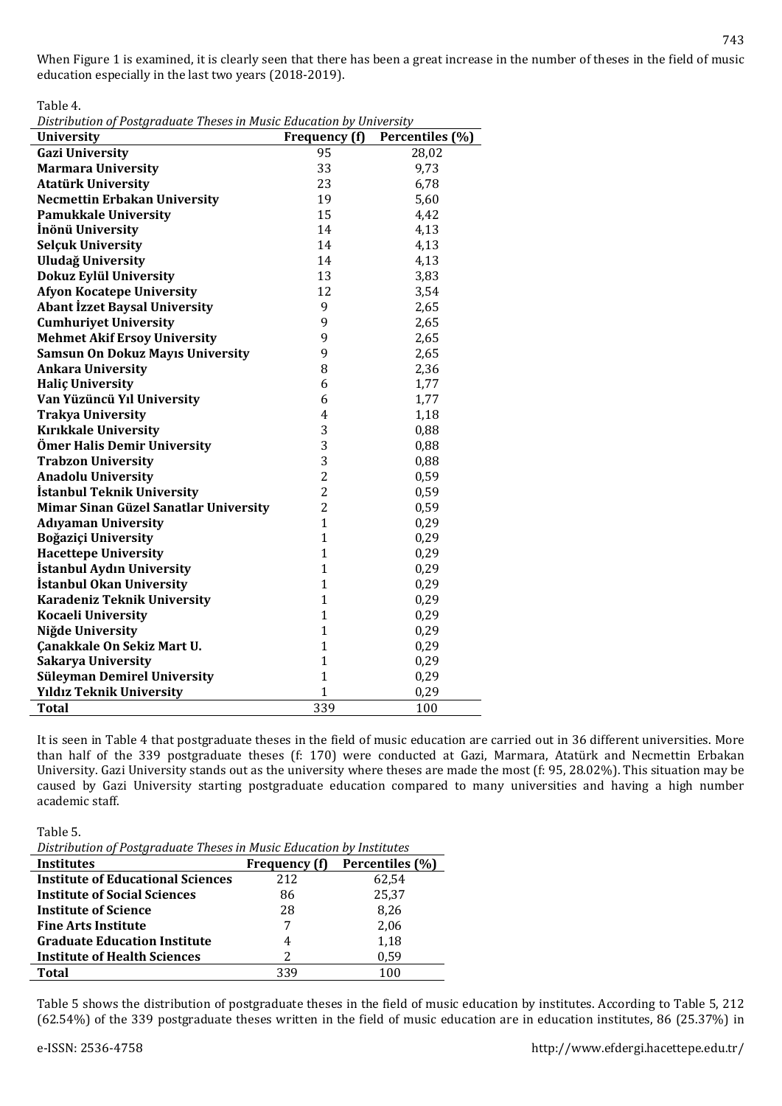Table 4.

*Distribution of Postgraduate Theses in Music Education by University*

| <b>University</b>                       | Frequency (f)  | Percentiles (%) |
|-----------------------------------------|----------------|-----------------|
| <b>Gazi University</b>                  | 95             | 28,02           |
| <b>Marmara University</b>               | 33             | 9,73            |
| <b>Atatürk University</b>               | 23             | 6,78            |
| <b>Necmettin Erbakan University</b>     | 19             | 5,60            |
| <b>Pamukkale University</b>             | 15             | 4,42            |
| İnönü University                        | 14             | 4,13            |
| <b>Selçuk University</b>                | 14             | 4,13            |
| <b>Uludağ University</b>                | 14             | 4,13            |
| Dokuz Eylül University                  | 13             | 3,83            |
| <b>Afyon Kocatepe University</b>        | 12             | 3,54            |
| <b>Abant İzzet Baysal University</b>    | 9              | 2,65            |
| <b>Cumhuriyet University</b>            | 9              | 2,65            |
| <b>Mehmet Akif Ersoy University</b>     | 9              | 2,65            |
| <b>Samsun On Dokuz Mayıs University</b> | 9              | 2,65            |
| <b>Ankara University</b>                | 8              | 2,36            |
| <b>Halic University</b>                 | 6              | 1,77            |
| Van Yüzüncü Yıl University              | 6              | 1,77            |
| <b>Trakya University</b>                | 4              | 1,18            |
| <b>Kırıkkale University</b>             | 3              | 0,88            |
| Ömer Halis Demir University             | 3              | 0,88            |
| <b>Trabzon University</b>               | 3              | 0,88            |
| <b>Anadolu University</b>               | $\overline{c}$ | 0,59            |
| İstanbul Teknik University              | $\overline{c}$ | 0,59            |
| Mimar Sinan Güzel Sanatlar University   | $\overline{c}$ | 0,59            |
| <b>Adıyaman University</b>              | $\mathbf 1$    | 0,29            |
| Boğaziçi University                     | $\mathbf{1}$   | 0,29            |
| <b>Hacettepe University</b>             | $\mathbf{1}$   | 0,29            |
| <b>İstanbul Aydın University</b>        | $\mathbf{1}$   | 0,29            |
| İstanbul Okan University                | $\mathbf{1}$   | 0,29            |
| <b>Karadeniz Teknik University</b>      | $\mathbf{1}$   | 0,29            |
| <b>Kocaeli University</b>               | $\mathbf{1}$   | 0,29            |
| Niğde University                        | $\mathbf{1}$   | 0,29            |
| Çanakkale On Sekiz Mart U.              | $\mathbf{1}$   | 0,29            |
| <b>Sakarya University</b>               | $\mathbf{1}$   | 0,29            |
| <b>Süleyman Demirel University</b>      | $\mathbf{1}$   | 0,29            |
| <b>Yıldız Teknik University</b>         | $\overline{1}$ | 0,29            |
| <b>Total</b>                            | 339            | 100             |

It is seen in Table 4 that postgraduate theses in the field of music education are carried out in 36 different universities. More than half of the 339 postgraduate theses (f: 170) were conducted at Gazi, Marmara, Atatürk and Necmettin Erbakan University. Gazi University stands out as the university where theses are made the most (f: 95, 28.02%). This situation may be caused by Gazi University starting postgraduate education compared to many universities and having a high number academic staff.

Table 5.

*Distribution of Postgraduate Theses in Music Education by Institutes*

| <b>Institutes</b>                        | <b>Frequency</b> (f) | Percentiles (%) |
|------------------------------------------|----------------------|-----------------|
| <b>Institute of Educational Sciences</b> | 212                  | 62.54           |
| <b>Institute of Social Sciences</b>      | 86                   | 25,37           |
| <b>Institute of Science</b>              | 28                   | 8.26            |
| <b>Fine Arts Institute</b>               |                      | 2,06            |
| <b>Graduate Education Institute</b>      | 4                    | 1.18            |
| <b>Institute of Health Sciences</b>      | 2                    | 0.59            |
| Total                                    | 339                  | 100             |

Table 5 shows the distribution of postgraduate theses in the field of music education by institutes. According to Table 5, 212 (62.54%) of the 339 postgraduate theses written in the field of music education are in education institutes, 86 (25.37%) in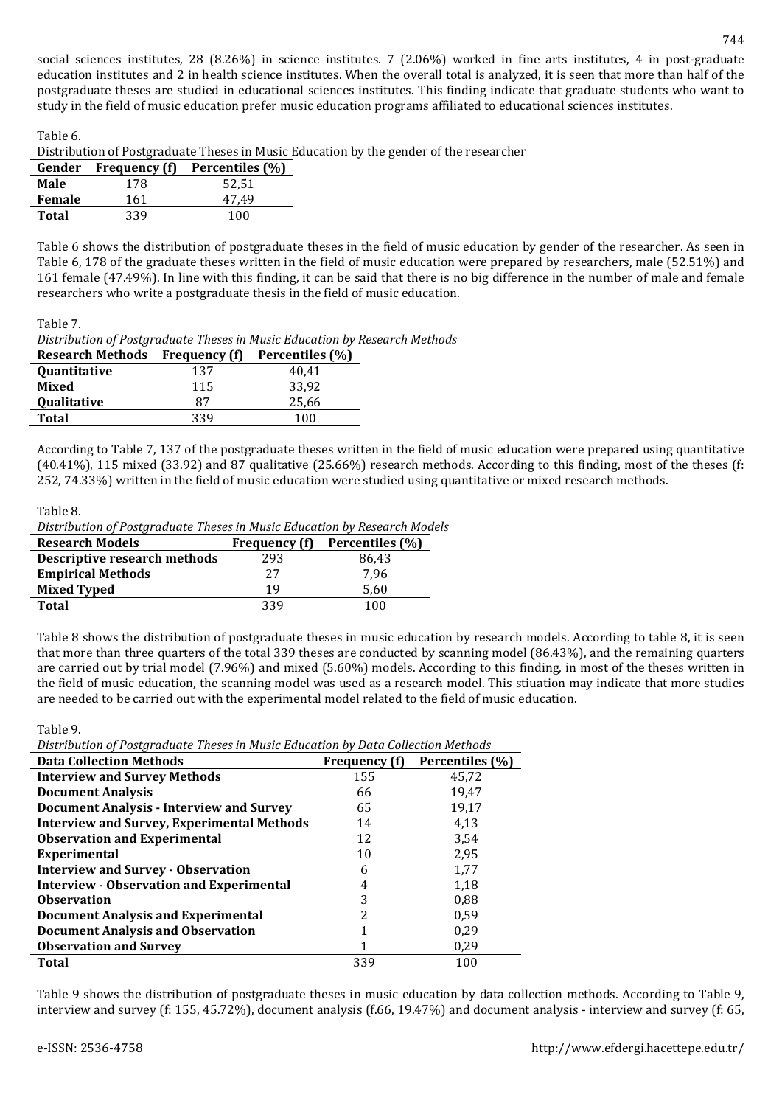social sciences institutes, 28 (8.26%) in science institutes. 7 (2.06%) worked in fine arts institutes, 4 in post-graduate education institutes and 2 in health science institutes. When the overall total is analyzed, it is seen that more than half of the postgraduate theses are studied in educational sciences institutes. This finding indicate that graduate students who want to study in the field of music education prefer music education programs affiliated to educational sciences institutes.

Table 6.

Distribution of Postgraduate Theses in Music Education by the gender of the researcher

|        | Gender Frequency (f) | Percentiles (%) |
|--------|----------------------|-----------------|
| Male   | 178                  | 52,51           |
| Female | 161                  | 47.49           |
| Total  | 339                  | 100             |
|        |                      |                 |

Table 6 shows the distribution of postgraduate theses in the field of music education by gender of the researcher. As seen in Table 6, 178 of the graduate theses written in the field of music education were prepared by researchers, male (52.51%) and 161 female (47.49%). In line with this finding, it can be said that there is no big difference in the number of male and female researchers who write a postgraduate thesis in the field of music education.

Table 7.

*Distribution of Postgraduate Theses in Music Education by Research Methods*

| <b>Research Methods</b> | Frequency (f) | Percentiles (%) |
|-------------------------|---------------|-----------------|
| <b>Quantitative</b>     | 137           | 40.41           |
| Mixed                   | 115           | 33.92           |
| Qualitative             | 87            | 25,66           |
| <b>Total</b>            | 339           | 100             |

According to Table 7, 137 of the postgraduate theses written in the field of music education were prepared using quantitative  $(40.41\%)$ , 115 mixed  $(33.92)$  and 87 qualitative  $(25.66\%)$  research methods. According to this finding, most of the theses (f: 252, 74.33%) written in the field of music education were studied using quantitative or mixed research methods.

| Table 8.                                                                  |                      |                 |  |
|---------------------------------------------------------------------------|----------------------|-----------------|--|
| Distribution of Postgraduate Theses in Music Education by Research Models |                      |                 |  |
|                                                                           |                      |                 |  |
| <b>Research Models</b>                                                    | <b>Frequency</b> (f) | Percentiles (%) |  |

| Descriptive research methods | 293 | 86,43 |
|------------------------------|-----|-------|
| <b>Empirical Methods</b>     | 27  | 7.96  |
| <b>Mixed Typed</b>           | 19  | 5.60  |
| <b>Total</b>                 | 339 | 100   |
|                              |     |       |

Table 8 shows the distribution of postgraduate theses in music education by research models. According to table 8, it is seen that more than three quarters of the total 339 theses are conducted by scanning model (86.43%), and the remaining quarters are carried out by trial model (7.96%) and mixed (5.60%) models. According to this finding, in most of the theses written in the field of music education, the scanning model was used as a research model. This stiuation may indicate that more studies are needed to be carried out with the experimental model related to the field of music education.

Table 9.

*Distribution of Postgraduate Theses in Music Education by Data Collection Methods*

| <b>Data Collection Methods</b>                    | Frequency (f) | Percentiles (%) |
|---------------------------------------------------|---------------|-----------------|
| <b>Interview and Survey Methods</b>               | 155           | 45,72           |
| <b>Document Analysis</b>                          | 66            | 19,47           |
| <b>Document Analysis - Interview and Survey</b>   | 65            | 19,17           |
| <b>Interview and Survey, Experimental Methods</b> | 14            | 4,13            |
| <b>Observation and Experimental</b>               | 12            | 3,54            |
| Experimental                                      | 10            | 2,95            |
| <b>Interview and Survey - Observation</b>         | 6             | 1,77            |
| <b>Interview - Observation and Experimental</b>   | 4             | 1,18            |
| <b>Observation</b>                                | 3             | 0.88            |
| Document Analysis and Experimental                | 2             | 0,59            |
| <b>Document Analysis and Observation</b>          |               | 0,29            |
| <b>Observation and Survey</b>                     |               | 0,29            |
| <b>Total</b>                                      | 339           | 100             |

Table 9 shows the distribution of postgraduate theses in music education by data collection methods. According to Table 9, interview and survey (f: 155, 45.72%), document analysis (f.66, 19.47%) and document analysis - interview and survey (f: 65,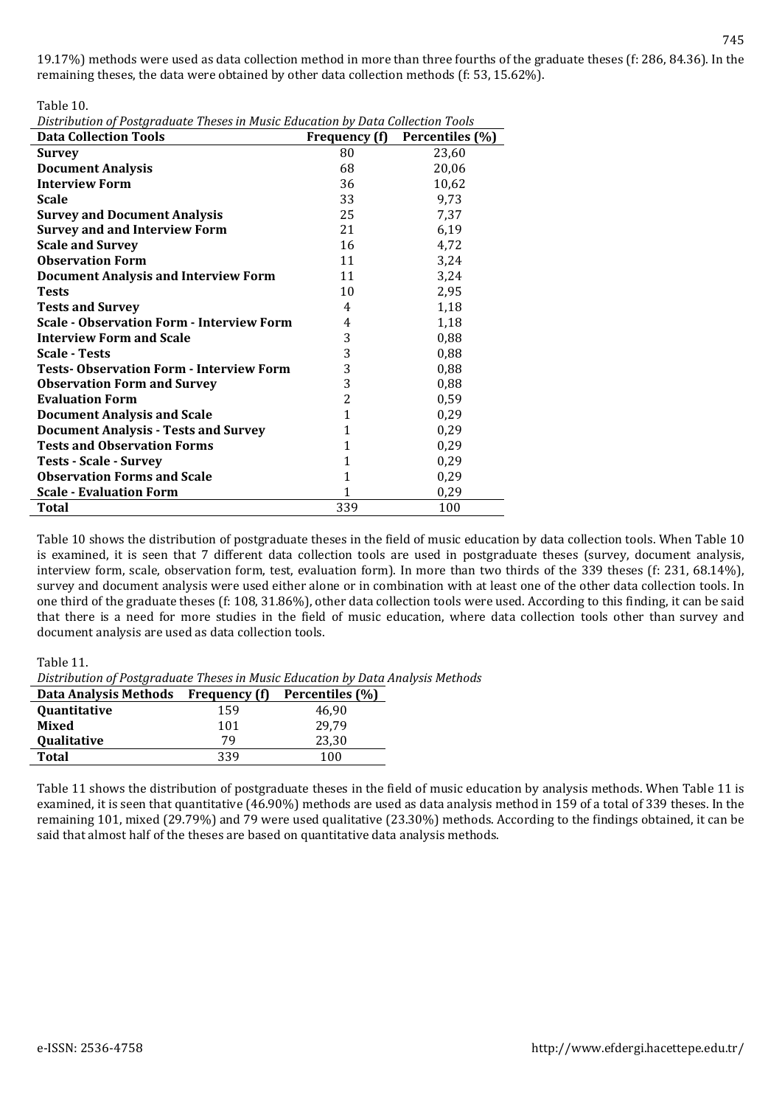Table 10.

|  | Distribution of Postgraduate Theses in Music Education by Data Collection Tools |  |
|--|---------------------------------------------------------------------------------|--|
|  |                                                                                 |  |

| <b>Data Collection Tools</b>                     | Frequency (f)  | Percentiles (%) |
|--------------------------------------------------|----------------|-----------------|
| <b>Survey</b>                                    | 80             | 23,60           |
| <b>Document Analysis</b>                         | 68             | 20,06           |
| <b>Interview Form</b>                            | 36             | 10,62           |
| <b>Scale</b>                                     | 33             | 9,73            |
| <b>Survey and Document Analysis</b>              | 25             | 7,37            |
| <b>Survey and and Interview Form</b>             | 21             | 6,19            |
| <b>Scale and Survey</b>                          | 16             | 4,72            |
| <b>Observation Form</b>                          | 11             | 3,24            |
| <b>Document Analysis and Interview Form</b>      | 11             | 3,24            |
| <b>Tests</b>                                     | 10             | 2,95            |
| <b>Tests and Survey</b>                          | 4              | 1,18            |
| <b>Scale - Observation Form - Interview Form</b> | 4              | 1,18            |
| <b>Interview Form and Scale</b>                  | 3              | 0,88            |
| <b>Scale - Tests</b>                             | 3              | 0,88            |
| <b>Tests-Observation Form - Interview Form</b>   | 3              | 0,88            |
| <b>Observation Form and Survey</b>               | 3              | 0,88            |
| <b>Evaluation Form</b>                           | $\overline{2}$ | 0,59            |
| <b>Document Analysis and Scale</b>               | $\mathbf 1$    | 0,29            |
| <b>Document Analysis - Tests and Survey</b>      | 1              | 0,29            |
| <b>Tests and Observation Forms</b>               | 1              | 0,29            |
| <b>Tests - Scale - Survey</b>                    | 1              | 0,29            |
| <b>Observation Forms and Scale</b>               | 1              | 0,29            |
| <b>Scale - Evaluation Form</b>                   | 1              | 0,29            |
| Total                                            | 339            | 100             |

Table 10 shows the distribution of postgraduate theses in the field of music education by data collection tools. When Table 10 is examined, it is seen that 7 different data collection tools are used in postgraduate theses (survey, document analysis, interview form, scale, observation form, test, evaluation form). In more than two thirds of the 339 theses (f: 231, 68.14%), survey and document analysis were used either alone or in combination with at least one of the other data collection tools. In one third of the graduate theses (f: 108, 31.86%), other data collection tools were used. According to this finding, it can be said that there is a need for more studies in the field of music education, where data collection tools other than survey and document analysis are used as data collection tools.

#### Table 11.

*Distribution of Postgraduate Theses in Music Education by Data Analysis Methods*

| <b>Data Analysis Methods</b> | <b>Frequency</b> (f) | Percentiles (%) |
|------------------------------|----------------------|-----------------|
| Quantitative                 | 159                  | 46.90           |
| Mixed                        | 101                  | 29.79           |
| <b>Qualitative</b>           | 79.                  | 23.30           |
| <b>Total</b>                 | 339                  | 100             |

Table 11 shows the distribution of postgraduate theses in the field of music education by analysis methods. When Table 11 is examined, it is seen that quantitative (46.90%) methods are used as data analysis method in 159 of a total of 339 theses. In the remaining 101, mixed (29.79%) and 79 were used qualitative (23.30%) methods. According to the findings obtained, it can be said that almost half of the theses are based on quantitative data analysis methods.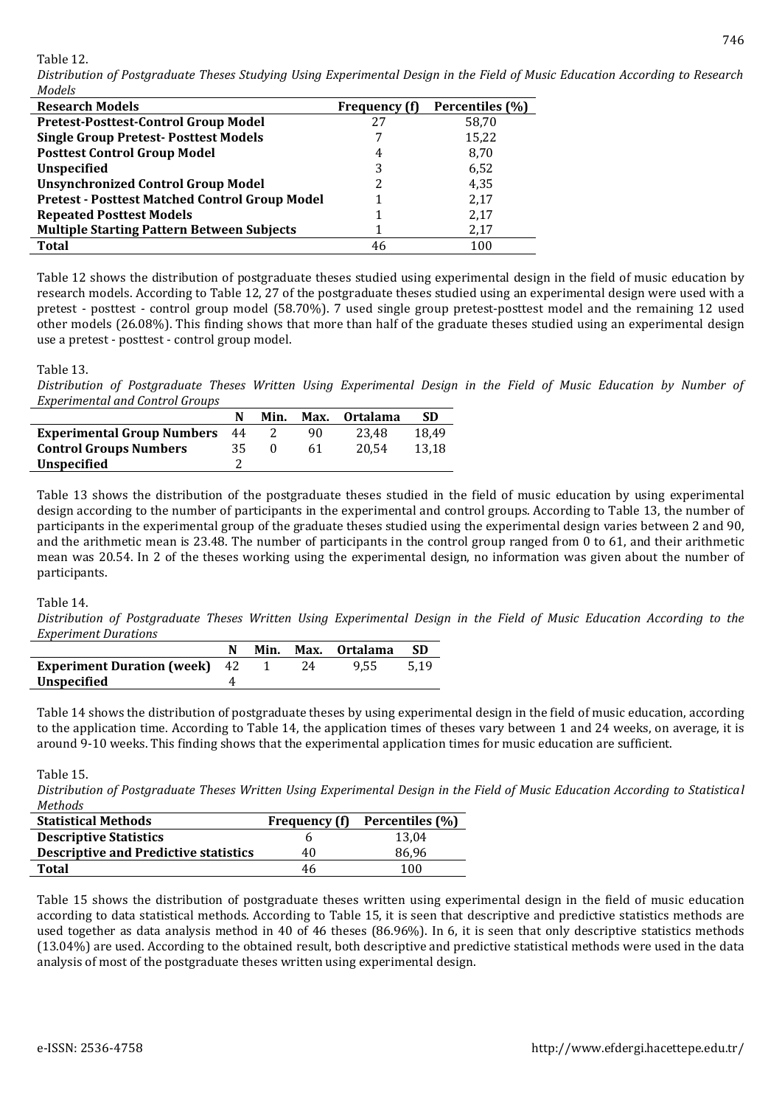Table 12.

*Distribution of Postgraduate Theses Studying Using Experimental Design in the Field of Music Education According to Research Models*

| <b>Research Models</b>                                | <b>Frequency</b> (f) | Percentiles (%) |
|-------------------------------------------------------|----------------------|-----------------|
| <b>Pretest-Posttest-Control Group Model</b>           | 27                   | 58,70           |
| <b>Single Group Pretest-Posttest Models</b>           |                      | 15,22           |
| <b>Posttest Control Group Model</b>                   | 4                    | 8,70            |
| <b>Unspecified</b>                                    |                      | 6,52            |
| <b>Unsynchronized Control Group Model</b>             |                      | 4,35            |
| <b>Pretest - Posttest Matched Control Group Model</b> |                      | 2,17            |
| <b>Repeated Posttest Models</b>                       |                      | 2,17            |
| <b>Multiple Starting Pattern Between Subjects</b>     |                      | 2,17            |
| <b>Total</b>                                          | 46                   | 100             |

Table 12 shows the distribution of postgraduate theses studied using experimental design in the field of music education by research models. According to Table 12, 27 of the postgraduate theses studied using an experimental design were used with a pretest - posttest - control group model (58.70%). 7 used single group pretest-posttest model and the remaining 12 used other models (26.08%). This finding shows that more than half of the graduate theses studied using an experimental design use a pretest - posttest - control group model.

#### Table 13.

*Distribution of Postgraduate Theses Written Using Experimental Design in the Field of Music Education by Number of Experimental and Control Groups*

|                                   |    | Min. | Max. | 0rtalama | SD    |
|-----------------------------------|----|------|------|----------|-------|
| <b>Experimental Group Numbers</b> | 44 |      | 90   | 23.48    | 18.49 |
| <b>Control Groups Numbers</b>     | 35 |      | 61   | 20.54    | 13.18 |
| <b>Unspecified</b>                |    |      |      |          |       |

Table 13 shows the distribution of the postgraduate theses studied in the field of music education by using experimental design according to the number of participants in the experimental and control groups. According to Table 13, the number of participants in the experimental group of the graduate theses studied using the experimental design varies between 2 and 90, and the arithmetic mean is 23.48. The number of participants in the control group ranged from 0 to 61, and their arithmetic mean was 20.54. In 2 of the theses working using the experimental design, no information was given about the number of participants.

#### Table 14.

*Distribution of Postgraduate Theses Written Using Experimental Design in the Field of Music Education According to the Experiment Durations*

|                                        |  |     | Min. Max. Ortalama |      |
|----------------------------------------|--|-----|--------------------|------|
| <b>Experiment Duration (week)</b> 42 1 |  | -24 | 9.55               | 5.19 |
| Unspecified                            |  |     |                    |      |

Table 14 shows the distribution of postgraduate theses by using experimental design in the field of music education, according to the application time. According to Table 14, the application times of theses vary between 1 and 24 weeks, on average, it is around 9-10 weeks. This finding shows that the experimental application times for music education are sufficient.

Table 15.

*Distribution of Postgraduate Theses Written Using Experimental Design in the Field of Music Education According to Statistical Methods*

| <b>Statistical Methods</b>                   | <b>Frequency</b> (f) | Percentiles (%) |
|----------------------------------------------|----------------------|-----------------|
| <b>Descriptive Statistics</b>                |                      | 13.04           |
| <b>Descriptive and Predictive statistics</b> | 40                   | 86,96           |
| Total                                        | 46                   | 100             |

Table 15 shows the distribution of postgraduate theses written using experimental design in the field of music education according to data statistical methods. According to Table 15, it is seen that descriptive and predictive statistics methods are used together as data analysis method in 40 of 46 theses (86.96%). In 6, it is seen that only descriptive statistics methods (13.04%) are used. According to the obtained result, both descriptive and predictive statistical methods were used in the data analysis of most of the postgraduate theses written using experimental design.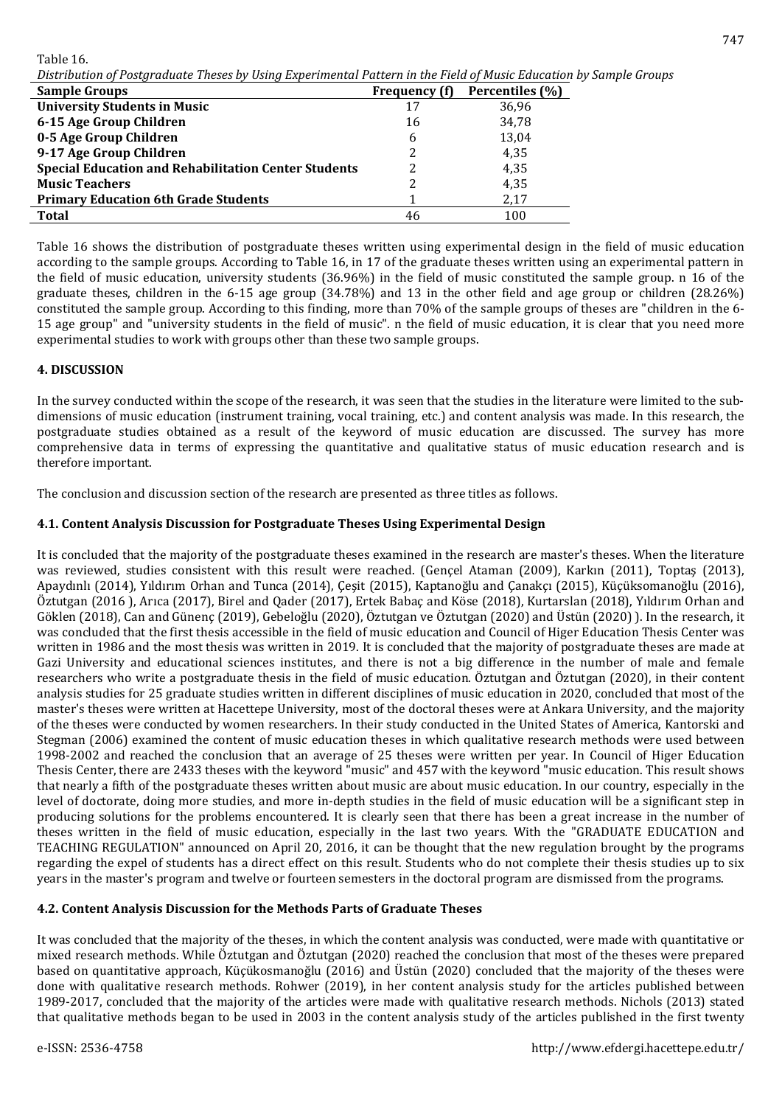Table 16.

*Distribution of Postgraduate Theses by Using Experimental Pattern in the Field of Music Education by Sample Groups*

| <b>Sample Groups</b>                                        | Frequency (f) | Percentiles (%) |
|-------------------------------------------------------------|---------------|-----------------|
| <b>University Students in Music</b>                         | 17            | 36,96           |
| 6-15 Age Group Children                                     | 16            | 34,78           |
| 0-5 Age Group Children                                      | 6             | 13,04           |
| 9-17 Age Group Children                                     |               | 4,35            |
| <b>Special Education and Rehabilitation Center Students</b> |               | 4,35            |
| <b>Music Teachers</b>                                       |               | 4,35            |
| <b>Primary Education 6th Grade Students</b>                 |               | 2,17            |
| <b>Total</b>                                                | 46            | 100             |

Table 16 shows the distribution of postgraduate theses written using experimental design in the field of music education according to the sample groups. According to Table 16, in 17 of the graduate theses written using an experimental pattern in the field of music education, university students (36.96%) in the field of music constituted the sample group. n 16 of the graduate theses, children in the 6-15 age group (34.78%) and 13 in the other field and age group or children (28.26%) constituted the sample group. According to this finding, more than 70% of the sample groups of theses are "children in the 6- 15 age group" and "university students in the field of music". n the field of music education, it is clear that you need more experimental studies to work with groups other than these two sample groups.

## **4. DISCUSSION**

In the survey conducted within the scope of the research, it was seen that the studies in the literature were limited to the subdimensions of music education (instrument training, vocal training, etc.) and content analysis was made. In this research, the postgraduate studies obtained as a result of the keyword of music education are discussed. The survey has more comprehensive data in terms of expressing the quantitative and qualitative status of music education research and is therefore important.

The conclusion and discussion section of the research are presented as three titles as follows.

## **4.1. Content Analysis Discussion for Postgraduate Theses Using Experimental Design**

It is concluded that the majority of the postgraduate theses examined in the research are master's theses. When the literature was reviewed, studies consistent with this result were reached. (Gençel Ataman (2009), Karkın (2011), Toptaş (2013), Apaydınlı (2014), Yıldırım Orhan and Tunca (2014), Çeşit (2015), Kaptanoğlu and Çanakçı (2015), Küçüksomanoğlu (2016), Öztutgan (2016 ), Arıca (2017), Birel and Qader (2017), Ertek Babaç and Köse (2018), Kurtarslan (2018), Yıldırım Orhan and Göklen (2018), Can and Günenç (2019), Gebeloğlu (2020), Öztutgan ve Öztutgan (2020) and Üstün (2020) ). In the research, it was concluded that the first thesis accessible in the field of music education and Council of Higer Education Thesis Center was written in 1986 and the most thesis was written in 2019. It is concluded that the majority of postgraduate theses are made at Gazi University and educational sciences institutes, and there is not a big difference in the number of male and female researchers who write a postgraduate thesis in the field of music education. Öztutgan and Öztutgan (2020), in their content analysis studies for 25 graduate studies written in different disciplines of music education in 2020, concluded that most of the master's theses were written at Hacettepe University, most of the doctoral theses were at Ankara University, and the majority of the theses were conducted by women researchers. In their study conducted in the United States of America, Kantorski and Stegman (2006) examined the content of music education theses in which qualitative research methods were used between 1998-2002 and reached the conclusion that an average of 25 theses were written per year. In Council of Higer Education Thesis Center, there are 2433 theses with the keyword "music" and 457 with the keyword "music education. This result shows that nearly a fifth of the postgraduate theses written about music are about music education. In our country, especially in the level of doctorate, doing more studies, and more in-depth studies in the field of music education will be a significant step in producing solutions for the problems encountered. It is clearly seen that there has been a great increase in the number of theses written in the field of music education, especially in the last two years. With the "GRADUATE EDUCATION and TEACHING REGULATION" announced on April 20, 2016, it can be thought that the new regulation brought by the programs regarding the expel of students has a direct effect on this result. Students who do not complete their thesis studies up to six years in the master's program and twelve or fourteen semesters in the doctoral program are dismissed from the programs.

## **4.2. Content Analysis Discussion for the Methods Parts of Graduate Theses**

It was concluded that the majority of the theses, in which the content analysis was conducted, were made with quantitative or mixed research methods. While Öztutgan and Öztutgan (2020) reached the conclusion that most of the theses were prepared based on quantitative approach, Küçükosmanoğlu (2016) and Üstün (2020) concluded that the majority of the theses were done with qualitative research methods. Rohwer (2019), in her content analysis study for the articles published between 1989-2017, concluded that the majority of the articles were made with qualitative research methods. Nichols (2013) stated that qualitative methods began to be used in 2003 in the content analysis study of the articles published in the first twenty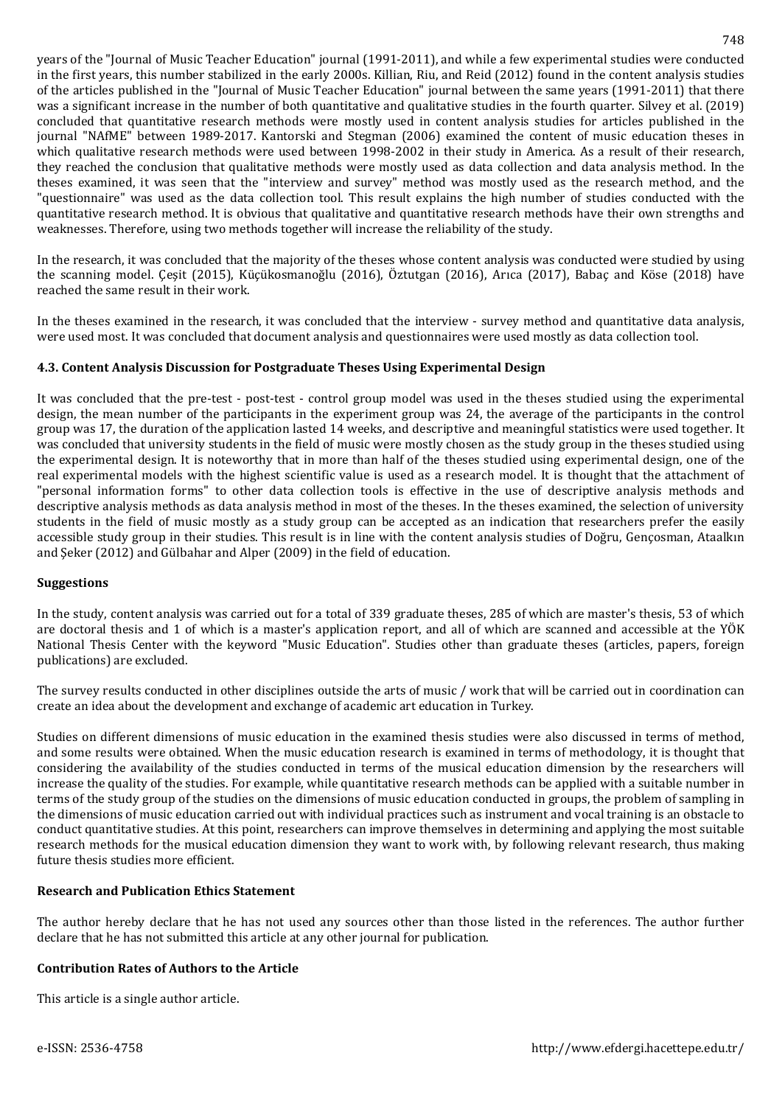years of the "Journal of Music Teacher Education" journal (1991-2011), and while a few experimental studies were conducted in the first years, this number stabilized in the early 2000s. Killian, Riu, and Reid (2012) found in the content analysis studies of the articles published in the "Journal of Music Teacher Education" journal between the same years (1991-2011) that there was a significant increase in the number of both quantitative and qualitative studies in the fourth quarter. Silvey et al. (2019) concluded that quantitative research methods were mostly used in content analysis studies for articles published in the journal "NAfME" between 1989-2017. Kantorski and Stegman (2006) examined the content of music education theses in which qualitative research methods were used between 1998-2002 in their study in America. As a result of their research, they reached the conclusion that qualitative methods were mostly used as data collection and data analysis method. In the theses examined, it was seen that the "interview and survey" method was mostly used as the research method, and the "questionnaire" was used as the data collection tool. This result explains the high number of studies conducted with the quantitative research method. It is obvious that qualitative and quantitative research methods have their own strengths and weaknesses. Therefore, using two methods together will increase the reliability of the study.

In the research, it was concluded that the majority of the theses whose content analysis was conducted were studied by using the scanning model. Çeşit (2015), Küçükosmanoğlu (2016), Öztutgan (2016), Arıca (2017), Babaç and Köse (2018) have reached the same result in their work.

In the theses examined in the research, it was concluded that the interview - survey method and quantitative data analysis, were used most. It was concluded that document analysis and questionnaires were used mostly as data collection tool.

## **4.3. Content Analysis Discussion for Postgraduate Theses Using Experimental Design**

It was concluded that the pre-test - post-test - control group model was used in the theses studied using the experimental design, the mean number of the participants in the experiment group was 24, the average of the participants in the control group was 17, the duration of the application lasted 14 weeks, and descriptive and meaningful statistics were used together. It was concluded that university students in the field of music were mostly chosen as the study group in the theses studied using the experimental design. It is noteworthy that in more than half of the theses studied using experimental design, one of the real experimental models with the highest scientific value is used as a research model. It is thought that the attachment of "personal information forms" to other data collection tools is effective in the use of descriptive analysis methods and descriptive analysis methods as data analysis method in most of the theses. In the theses examined, the selection of university students in the field of music mostly as a study group can be accepted as an indication that researchers prefer the easily accessible study group in their studies. This result is in line with the content analysis studies of Doğru, Gençosman, Ataalkın and Şeker (2012) and Gülbahar and Alper (2009) in the field of education.

## **Suggestions**

In the study, content analysis was carried out for a total of 339 graduate theses, 285 of which are master's thesis, 53 of which are doctoral thesis and 1 of which is a master's application report, and all of which are scanned and accessible at the YÖK National Thesis Center with the keyword "Music Education". Studies other than graduate theses (articles, papers, foreign publications) are excluded.

The survey results conducted in other disciplines outside the arts of music / work that will be carried out in coordination can create an idea about the development and exchange of academic art education in Turkey.

Studies on different dimensions of music education in the examined thesis studies were also discussed in terms of method, and some results were obtained. When the music education research is examined in terms of methodology, it is thought that considering the availability of the studies conducted in terms of the musical education dimension by the researchers will increase the quality of the studies. For example, while quantitative research methods can be applied with a suitable number in terms of the study group of the studies on the dimensions of music education conducted in groups, the problem of sampling in the dimensions of music education carried out with individual practices such as instrument and vocal training is an obstacle to conduct quantitative studies. At this point, researchers can improve themselves in determining and applying the most suitable research methods for the musical education dimension they want to work with, by following relevant research, thus making future thesis studies more efficient.

## **Research and Publication Ethics Statement**

The author hereby declare that he has not used any sources other than those listed in the references. The author further declare that he has not submitted this article at any other journal for publication.

## **Contribution Rates of Authors to the Article**

This article is a single author article.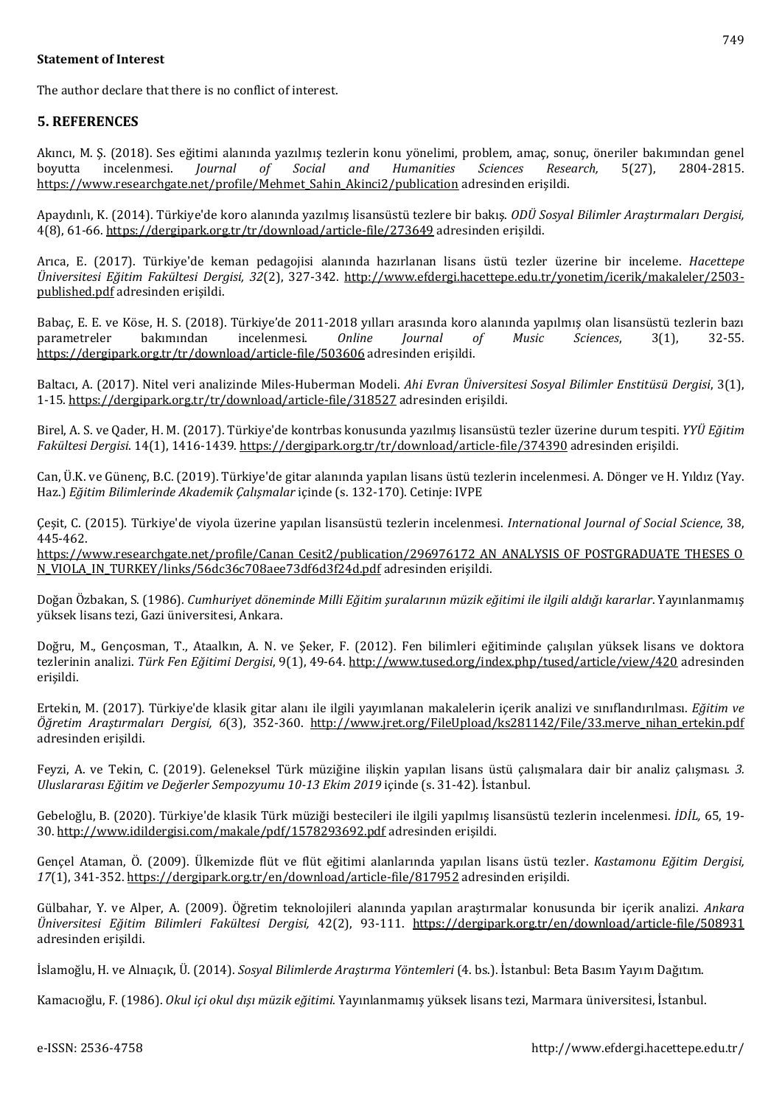### **Statement of Interest**

The author declare that there is no conflict of interest.

### **5. REFERENCES**

Akıncı, M. Ş. (2018). Ses eğitimi alanında yazılmış tezlerin konu yönelimi, problem, amaç, sonuç, öneriler bakımından genel boyutta incelenmesi. *Journal of Social and Humanities Sciences Research,* 5(27), 2804-2815. [https://www.researchgate.net/profile/Mehmet\\_Sahin\\_Akinci2/publication](https://www.researchgate.net/profile/Mehmet_Sahin_Akinci2/publication/338863724_Ses_Egitimi_Alaninda_Yazilmis_Tezlerin_Konu_Yonelimi_Problem_Amac_Sonuc_Oneriler_Bakimindan_Genel_Boyutta_Incelenmesi-A_GENERAL_ANALYSIS_OF_THE_THESES_ON_VOCAL_TRAINING_IN_TERMS_OF_SUBJECT_MATTER_PROB/links/5e302f70a6fdccd96570970c/Ses-Egitimi-Alaninda-Yazilmis-Tezlerin-Konu-Yoenelimi-Problem-Amac-Sonuc-Oeneriler-Bakimindan-Genel-Boyutta-Incelenmesi-A-GENERAL-ANALYSIS-OF-THE-THESES-ON-VOCAL-TRAINING-IN-TERMS-OF-SUBJECT-MATTE.pdf) adresinden erişildi.

Apaydınlı, K. (2014). Türkiye'de koro alanında yazılmış lisansüstü tezlere bir bakış. *ODÜ Sosyal Bilimler Araştırmaları Dergisi,* 4(8), 61-66. <https://dergipark.org.tr/tr/download/article-file/273649> adresinden erişildi.

Arıca, E. (2017). Türkiye'de keman pedagojisi alanında hazırlanan lisans üstü tezler üzerine bir inceleme. *Hacettepe Üniversitesi Eğitim Fakültesi Dergisi, 32*(2), 327-342. [http://www.efdergi.hacettepe.edu.tr/yonetim/icerik/makaleler/2503](http://www.efdergi.hacettepe.edu.tr/yonetim/icerik/makaleler/2503-published.pdf) [published.pdf](http://www.efdergi.hacettepe.edu.tr/yonetim/icerik/makaleler/2503-published.pdf) adresinden erişildi.

Babaç, E. E. ve Köse, H. S. (2018). Türkiye'de 2011-2018 yılları arasında koro alanında yapılmış olan lisansüstü tezlerin bazı parametreler bakımından incelenmesi. *Online Journal of Music Sciences*, 3(1), 32-55. <https://dergipark.org.tr/tr/download/article-file/503606> adresinden erişildi.

Baltacı, A. (2017). Nitel veri analizinde Miles-Huberman Modeli. *Ahi Evran Üniversitesi Sosyal Bilimler Enstitüsü Dergisi*, 3(1), 1-15. <https://dergipark.org.tr/tr/download/article-file/318527> adresinden erişildi.

Birel, A. S. ve Qader, H. M. (2017). Türkiye'de kontrbas konusunda yazılmış lisansüstü tezler üzerine durum tespiti. *YYÜ Eğitim Fakültesi Dergisi*. 14(1), 1416-1439. <https://dergipark.org.tr/tr/download/article-file/374390> adresinden erişildi.

Can, Ü.K. ve Günenç, B.C. (2019). Türkiye'de gitar alanında yapılan lisans üstü tezlerin incelenmesi. A. Dönger ve H. Yıldız (Yay. Haz.) *Eğitim Bilimlerinde Akademik Çalışmalar* içinde (s. 132-170). Cetinje: IVPE

Çeşit, C. (2015). Türkiye'de viyola üzerine yapılan lisansüstü tezlerin incelenmesi. *International Journal of Social Science*, 38, 445-462.

[https://www.researchgate.net/profile/Canan\\_Cesit2/publication/296976172\\_AN\\_ANALYSIS\\_OF\\_POSTGRADUATE\\_THESES\\_O](https://www.researchgate.net/profile/Canan_Cesit2/publication/296976172_AN_ANALYSIS_OF_POSTGRADUATE_THESES_ON_VIOLA_IN_TURKEY/links/56dc36c708aee73df6d3f24d.pdf) [N\\_VIOLA\\_IN\\_TURKEY/links/56dc36c708aee73df6d3f24d.pdf](https://www.researchgate.net/profile/Canan_Cesit2/publication/296976172_AN_ANALYSIS_OF_POSTGRADUATE_THESES_ON_VIOLA_IN_TURKEY/links/56dc36c708aee73df6d3f24d.pdf) adresinden erişildi.

Doğan Özbakan, S. (1986). *Cumhuriyet döneminde Milli Eğitim şuralarının müzik eğitimi ile ilgili aldığı kararlar*. Yayınlanmamış yüksek lisans tezi, Gazi üniversitesi, Ankara.

Doğru, M., Gençosman, T., Ataalkın, A. N. ve Şeker, F. (2012). Fen bilimleri eğitiminde çalışılan yüksek lisans ve doktora tezlerinin analizi. *Türk Fen Eğitimi Dergisi*, 9(1), 49-64. <http://www.tused.org/index.php/tused/article/view/420> adresinden erişildi.

Ertekin, M. (2017). Türkiye'de klasik gitar alanı ile ilgili yayımlanan makalelerin içerik analizi ve sınıflandırılması. *Eğitim ve Öğretim Araştırmaları Dergisi, 6*(3), 352-360. [http://www.jret.org/FileUpload/ks281142/File/33.merve\\_nihan\\_ertekin.pdf](http://www.jret.org/FileUpload/ks281142/File/33.merve_nihan_ertekin.pdf) adresinden erişildi.

Feyzi, A. ve Tekin, C. (2019). Geleneksel Türk müziğine ilişkin yapılan lisans üstü çalışmalara dair bir analiz çalışması. *3. Uluslararası Eğitim ve Değerler Sempozyumu 10-13 Ekim 2019* içinde (s. 31-42). İstanbul.

Gebeloğlu, B. (2020). Türkiye'de klasik Türk müziği bestecileri ile ilgili yapılmış lisansüstü tezlerin incelenmesi. *İDİL,* 65, 19- 30. <http://www.idildergisi.com/makale/pdf/1578293692.pdf> adresinden erişildi.

Gençel Ataman, Ö. (2009). Ülkemizde flüt ve flüt eğitimi alanlarında yapılan lisans üstü tezler. *Kastamonu Eğitim Dergisi, 17*(1), 341-352. <https://dergipark.org.tr/en/download/article-file/817952> adresinden erişildi.

Gülbahar, Y. ve Alper, A. (2009). Öğretim teknolojileri alanında yapılan araştırmalar konusunda bir içerik analizi. *Ankara Üniversitesi Eğitim Bilimleri Fakültesi Dergisi,* 42(2), 93-111. <https://dergipark.org.tr/en/download/article-file/508931> adresinden erişildi.

İslamoğlu, H. ve Alnıaçık, Ü. (2014). *Sosyal Bilimlerde Araştırma Yöntemleri* (4. bs.). İstanbul: Beta Basım Yayım Dağıtım.

Kamacıoğlu, F. (1986). *Okul içi okul dışı müzik eğitimi*. Yayınlanmamış yüksek lisans tezi, Marmara üniversitesi, İstanbul.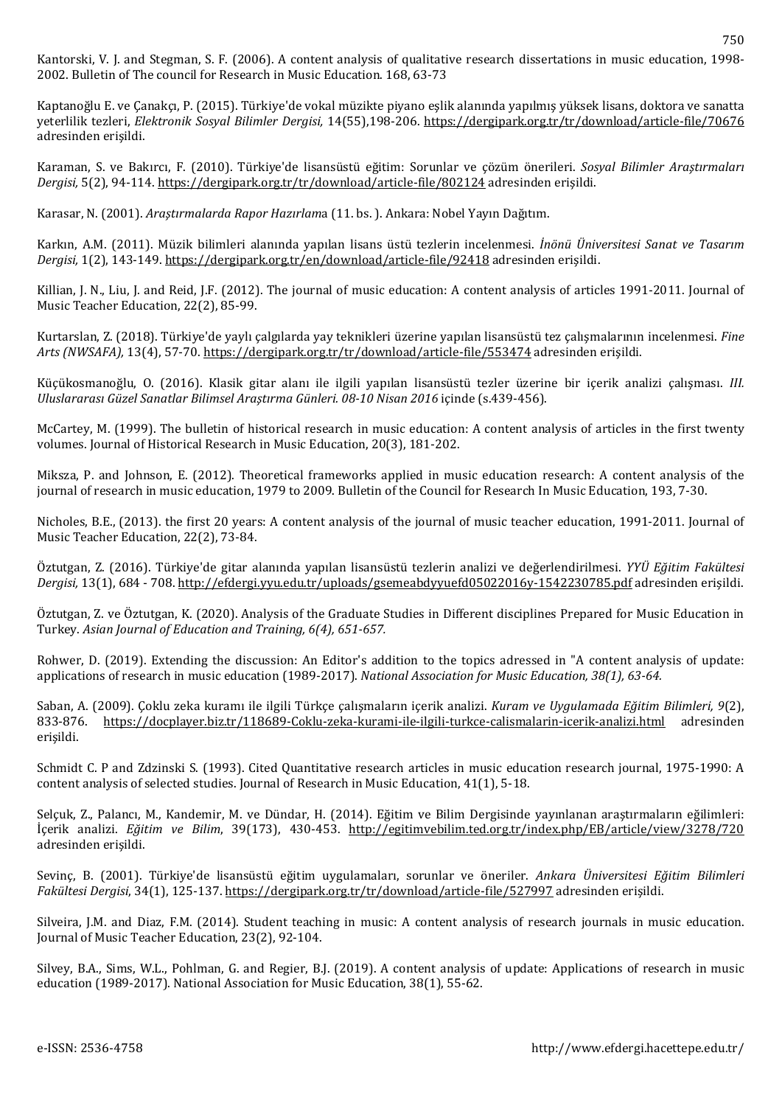Kaptanoğlu E. ve Çanakçı, P. (2015). Türkiye'de vokal müzikte piyano eşlik alanında yapılmış yüksek lisans, doktora ve sanatta yeterlilik tezleri, *Elektronik Sosyal Bilimler Dergisi,* 14(55),198-206. <https://dergipark.org.tr/tr/download/article-file/70676> adresinden erişildi.

Karaman, S. ve Bakırcı, F. (2010). Türkiye'de lisansüstü eğitim: Sorunlar ve çözüm önerileri. *Sosyal Bilimler Araştırmaları Dergisi,* 5(2), 94-114. <https://dergipark.org.tr/tr/download/article-file/802124> adresinden erişildi.

Karasar, N. (2001). *Araştırmalarda Rapor Hazırlam*a (11. bs. ). Ankara: Nobel Yayın Dağıtım.

Karkın, A.M. (2011). Müzik bilimleri alanında yapılan lisans üstü tezlerin incelenmesi. *İnönü Üniversitesi Sanat ve Tasarım Dergisi,* 1(2), 143-149. <https://dergipark.org.tr/en/download/article-file/92418> adresinden erişildi.

Killian, J. N., Liu, J. and Reid, J.F. (2012). The journal of music education: A content analysis of articles 1991-2011. Journal of Music Teacher Education, 22(2), 85-99.

Kurtarslan, Z. (2018). Türkiye'de yaylı çalgılarda yay teknikleri üzerine yapılan lisansüstü tez çalışmalarının incelenmesi. *Fine Arts (NWSAFA),* 13(4), 57-70. <https://dergipark.org.tr/tr/download/article-file/553474> adresinden erişildi.

Küçükosmanoğlu, O. (2016). Klasik gitar alanı ile ilgili yapılan lisansüstü tezler üzerine bir içerik analizi çalışması. *III. Uluslararası Güzel Sanatlar Bilimsel Araştırma Günleri. 08-10 Nisan 2016* içinde (s.439-456).

McCartey, M. (1999). The bulletin of historical research in music education: A content analysis of articles in the first twenty volumes. Journal of Historical Research in Music Education, 20(3), 181-202.

Miksza, P. and Johnson, E. (2012). Theoretical frameworks applied in music education research: A content analysis of the journal of research in music education, 1979 to 2009. Bulletin of the Council for Research In Music Education, 193, 7-30.

Nicholes, B.E., (2013). the first 20 years: A content analysis of the journal of music teacher education, 1991-2011. Journal of Music Teacher Education, 22(2), 73-84.

Öztutgan, Z. (2016). Türkiye'de gitar alanında yapılan lisansüstü tezlerin analizi ve değerlendirilmesi. *YYÜ Eğitim Fakültesi Dergisi,* 13(1), 684 - 708. <http://efdergi.yyu.edu.tr/uploads/gsemeabdyyuefd05022016y-1542230785.pdf> adresinden erişildi.

Öztutgan, Z. ve Öztutgan, K. (2020). Analysis of the Graduate Studies in Different disciplines Prepared for Music Education in Turkey. *Asian Journal of Education and Training, 6(4), 651-657.*

Rohwer, D. (2019). Extending the discussion: An Editor's addition to the topics adressed in "A content analysis of update: applications of research in music education (1989-2017). *National Association for Music Education, 38(1), 63-64.*

Saban, A. (2009). Çoklu zeka kuramı ile ilgili Türkçe çalışmaların içerik analizi. *Kuram ve Uygulamada Eğitim Bilimleri, 9*(2), 833-876. <https://docplayer.biz.tr/118689-Coklu-zeka-kurami-ile-ilgili-turkce-calismalarin-icerik-analizi.html> adresinden erişildi.

Schmidt C. P and Zdzinski S. (1993). Cited Quantitative research articles in music education research journal, 1975-1990: A content analysis of selected studies. Journal of Research in Music Education, 41(1), 5-18.

Selçuk, Z., Palancı, M., Kandemir, M. ve Dündar, H. (2014). Eğitim ve Bilim Dergisinde yayınlanan araştırmaların eğilimleri: İçerik analizi. *Eğitim ve Bilim*, 39(173), 430-453. <http://egitimvebilim.ted.org.tr/index.php/EB/article/view/3278/720> adresinden erişildi.

Sevinç, B. (2001). Türkiye'de lisansüstü eğitim uygulamaları, sorunlar ve öneriler. *Ankara Üniversitesi Eğitim Bilimleri Fakültesi Dergisi*, 34(1), 125-137. <https://dergipark.org.tr/tr/download/article-file/527997> adresinden erişildi.

Silveira, J.M. and Diaz, F.M. (2014). Student teaching in music: A content analysis of research journals in music education. Journal of Music Teacher Education, 23(2), 92-104.

Silvey, B.A., Sims, W.L., Pohlman, G. and Regier, B.J. (2019). A content analysis of update: Applications of research in music education (1989-2017). National Association for Music Education, 38(1), 55-62.